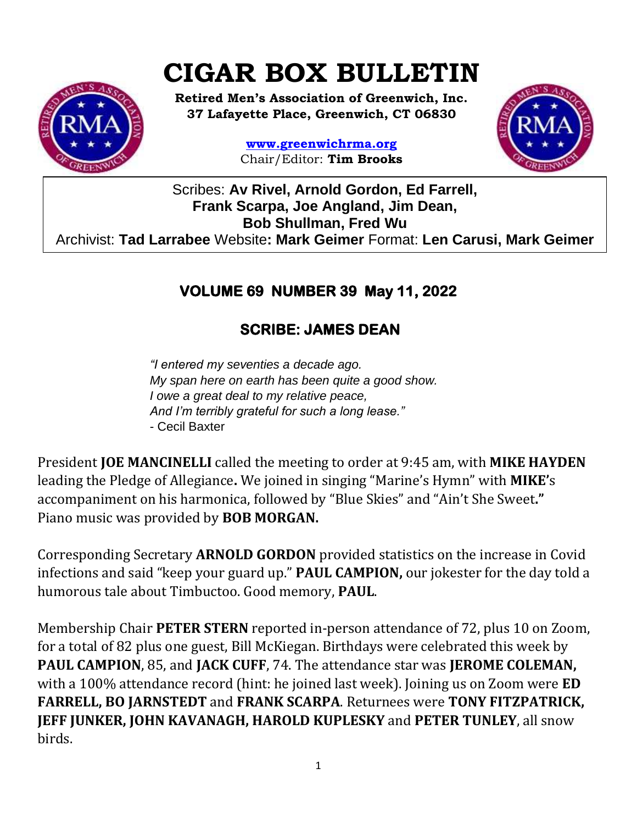# **CIGAR BOX BULLETIN**



**Retired Men's Association of Greenwich, Inc. 37 Lafayette Place, Greenwich, CT 06830**

> **www.greenwichrma.org** Chair/Editor: **Tim Brooks**



Scribes: **Av Rivel, Arnold Gordon, Ed Farrell, Frank Scarpa, Joe Angland, Jim Dean, Bob Shullman, Fred Wu** Archivist: **Tad Larrabee** Website**: Mark Geimer** Format: **Len Carusi, Mark Geimer c**

## **VOLUME 69 NUMBER 39 May 11, 2022**

# **SCRIBE: JAMES DEAN**

*"I entered my seventies a decade ago. My span here on earth has been quite a good show. I owe a great deal to my relative peace, And I'm terribly grateful for such a long lease."* - Cecil Baxter

President **JOE MANCINELLI** called the meeting to order at 9:45 am, with **MIKE HAYDEN**  leading the Pledge of Allegiance**.** We joined in singing "Marine's Hymn" with **MIKE'**s accompaniment on his harmonica, followed by "Blue Skies" and "Ain't She Sweet**."** Piano music was provided by **BOB MORGAN.**

Corresponding Secretary **ARNOLD GORDON** provided statistics on the increase in Covid infections and said "keep your guard up." **PAUL CAMPION,** our jokester for the day told a humorous tale about Timbuctoo. Good memory, **PAUL**.

Membership Chair **PETER STERN** reported in-person attendance of 72, plus 10 on Zoom, for a total of 82 plus one guest, Bill McKiegan. Birthdays were celebrated this week by **PAUL CAMPION**, 85, and **JACK CUFF**, 74. The attendance star was **JEROME COLEMAN,**  with a 100% attendance record (hint: he joined last week). Joining us on Zoom were **ED FARRELL, BO JARNSTEDT** and **FRANK SCARPA**. Returnees were **TONY FITZPATRICK, JEFF JUNKER, JOHN KAVANAGH, HAROLD KUPLESKY** and **PETER TUNLEY**, all snow birds.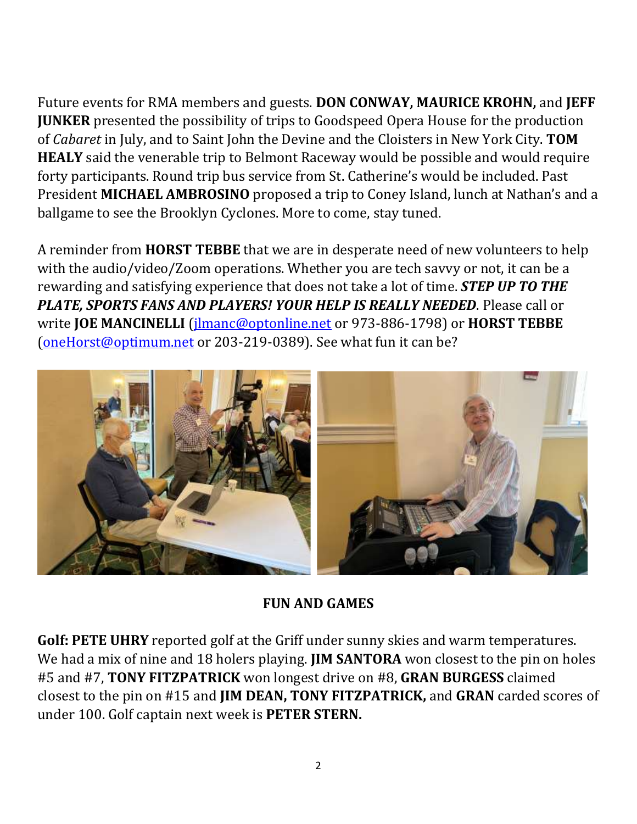Future events for RMA members and guests. **DON CONWAY, MAURICE KROHN,** and **JEFF JUNKER** presented the possibility of trips to Goodspeed Opera House for the production of *Cabaret* in July, and to Saint John the Devine and the Cloisters in New York City. **TOM HEALY** said the venerable trip to Belmont Raceway would be possible and would require forty participants. Round trip bus service from St. Catherine's would be included. Past President **MICHAEL AMBROSINO** proposed a trip to Coney Island, lunch at Nathan's and a ballgame to see the Brooklyn Cyclones. More to come, stay tuned.

A reminder from **HORST TEBBE** that we are in desperate need of new volunteers to help with the audio/video/Zoom operations. Whether you are tech savvy or not, it can be a rewarding and satisfying experience that does not take a lot of time. *STEP UP TO THE PLATE, SPORTS FANS AND PLAYERS! YOUR HELP IS REALLY NEEDED*. Please call or write **JOE MANCINELLI** [\(jlmanc@optonline.net](mailto:jlmanc@optonline.net) or 973-886-1798) or **HORST TEBBE** [\(oneHorst@optimum.net](mailto:oneHorst@optimum.net) or 203-219-0389). See what fun it can be?



**FUN AND GAMES**

**Golf: PETE UHRY** reported golf at the Griff under sunny skies and warm temperatures. We had a mix of nine and 18 holers playing. **JIM SANTORA** won closest to the pin on holes #5 and #7, **TONY FITZPATRICK** won longest drive on #8, **GRAN BURGESS** claimed closest to the pin on #15 and **JIM DEAN, TONY FITZPATRICK,** and **GRAN** carded scores of under 100. Golf captain next week is **PETER STERN.**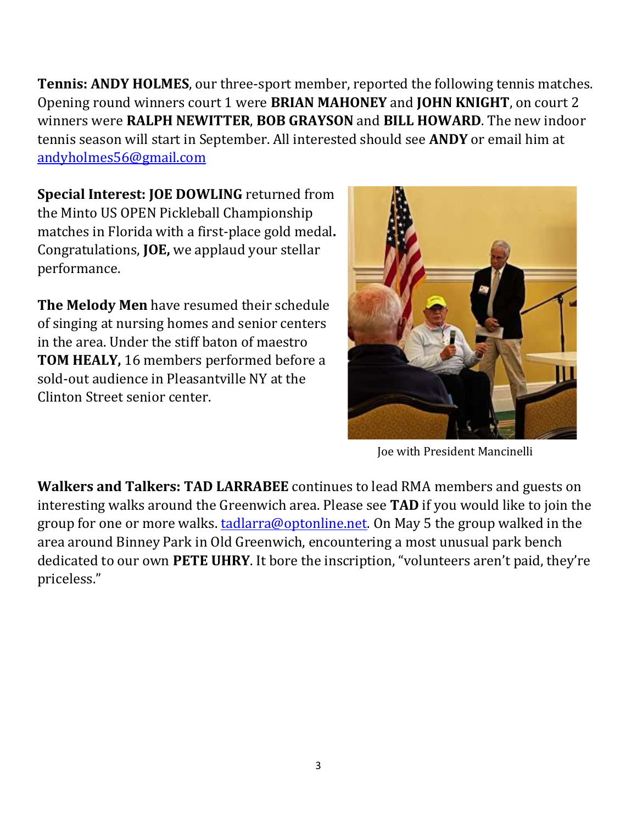**Tennis: ANDY HOLMES**, our three-sport member, reported the following tennis matches. Opening round winners court 1 were **BRIAN MAHONEY** and **JOHN KNIGHT**, on court 2 winners were **RALPH NEWITTER**, **BOB GRAYSON** and **BILL HOWARD**. The new indoor tennis season will start in September. All interested should see **ANDY** or email him at [andyholmes56@gmail.com](mailto:andyholmes56@gmail.com)

**Special Interest: JOE DOWLING** returned from the Minto US OPEN Pickleball Championship matches in Florida with a first-place gold medal**.**  Congratulations, **JOE,** we applaud your stellar performance.

**The Melody Men** have resumed their schedule of singing at nursing homes and senior centers in the area. Under the stiff baton of maestro **TOM HEALY,** 16 members performed before a sold-out audience in Pleasantville NY at the Clinton Street senior center.



Joe with President Mancinelli

**Walkers and Talkers: TAD LARRABEE** continues to lead RMA members and guests on interesting walks around the Greenwich area. Please see **TAD** if you would like to join the group for one or more walks. [tadlarra@optonline.net.](mailto:tadlarra@optonline.net) On May 5 the group walked in the area around Binney Park in Old Greenwich, encountering a most unusual park bench dedicated to our own **PETE UHRY**. It bore the inscription, "volunteers aren't paid, they're priceless."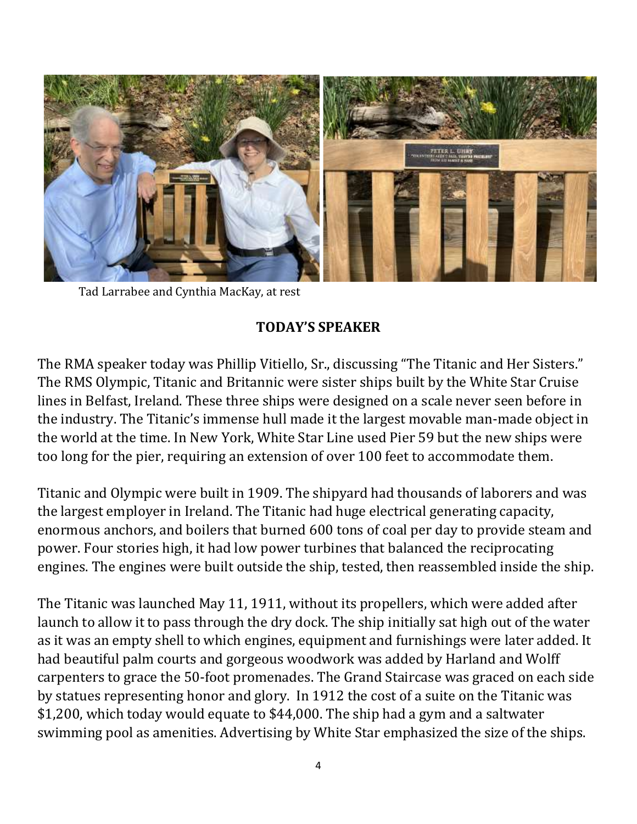

Tad Larrabee and Cynthia MacKay, at rest

## **TODAY'S SPEAKER**

The RMA speaker today was Phillip Vitiello, Sr., discussing "The Titanic and Her Sisters." The RMS Olympic, Titanic and Britannic were sister ships built by the White Star Cruise lines in Belfast, Ireland. These three ships were designed on a scale never seen before in the industry. The Titanic's immense hull made it the largest movable man-made object in the world at the time. In New York, White Star Line used Pier 59 but the new ships were too long for the pier, requiring an extension of over 100 feet to accommodate them.

Titanic and Olympic were built in 1909. The shipyard had thousands of laborers and was the largest employer in Ireland. The Titanic had huge electrical generating capacity, enormous anchors, and boilers that burned 600 tons of coal per day to provide steam and power. Four stories high, it had low power turbines that balanced the reciprocating engines. The engines were built outside the ship, tested, then reassembled inside the ship.

The Titanic was launched May 11, 1911, without its propellers, which were added after launch to allow it to pass through the dry dock. The ship initially sat high out of the water as it was an empty shell to which engines, equipment and furnishings were later added. It had beautiful palm courts and gorgeous woodwork was added by Harland and Wolff carpenters to grace the 50-foot promenades. The Grand Staircase was graced on each side by statues representing honor and glory. In 1912 the cost of a suite on the Titanic was \$1,200, which today would equate to \$44,000. The ship had a gym and a saltwater swimming pool as amenities. Advertising by White Star emphasized the size of the ships.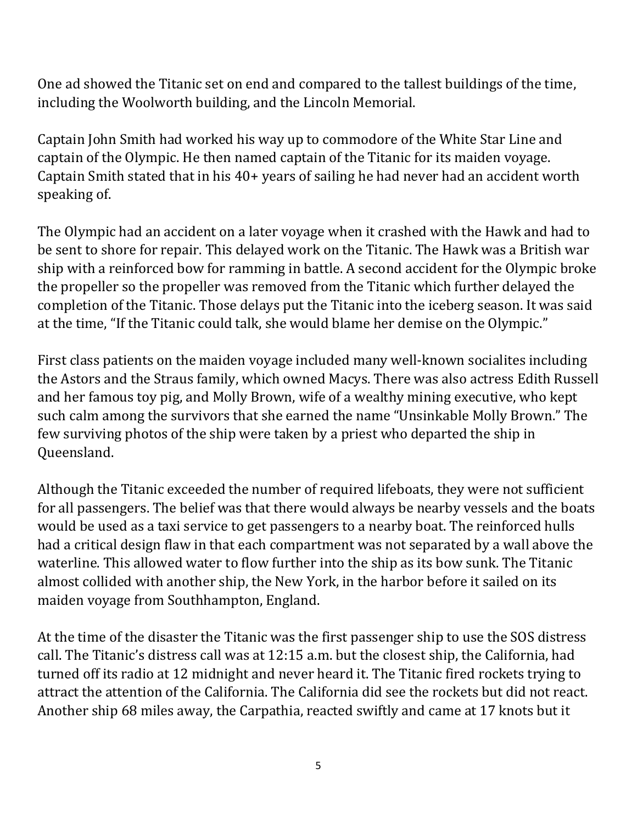One ad showed the Titanic set on end and compared to the tallest buildings of the time, including the Woolworth building, and the Lincoln Memorial.

Captain John Smith had worked his way up to commodore of the White Star Line and captain of the Olympic. He then named captain of the Titanic for its maiden voyage. Captain Smith stated that in his 40+ years of sailing he had never had an accident worth speaking of.

The Olympic had an accident on a later voyage when it crashed with the Hawk and had to be sent to shore for repair. This delayed work on the Titanic. The Hawk was a British war ship with a reinforced bow for ramming in battle. A second accident for the Olympic broke the propeller so the propeller was removed from the Titanic which further delayed the completion of the Titanic. Those delays put the Titanic into the iceberg season. It was said at the time, "If the Titanic could talk, she would blame her demise on the Olympic."

First class patients on the maiden voyage included many well-known socialites including the Astors and the Straus family, which owned Macys. There was also actress Edith Russell and her famous toy pig, and Molly Brown, wife of a wealthy mining executive, who kept such calm among the survivors that she earned the name "Unsinkable Molly Brown." The few surviving photos of the ship were taken by a priest who departed the ship in Queensland.

Although the Titanic exceeded the number of required lifeboats, they were not sufficient for all passengers. The belief was that there would always be nearby vessels and the boats would be used as a taxi service to get passengers to a nearby boat. The reinforced hulls had a critical design flaw in that each compartment was not separated by a wall above the waterline. This allowed water to flow further into the ship as its bow sunk. The Titanic almost collided with another ship, the New York, in the harbor before it sailed on its maiden voyage from Southhampton, England.

At the time of the disaster the Titanic was the first passenger ship to use the SOS distress call. The Titanic's distress call was at 12:15 a.m. but the closest ship, the California, had turned off its radio at 12 midnight and never heard it. The Titanic fired rockets trying to attract the attention of the California. The California did see the rockets but did not react. Another ship 68 miles away, the Carpathia, reacted swiftly and came at 17 knots but it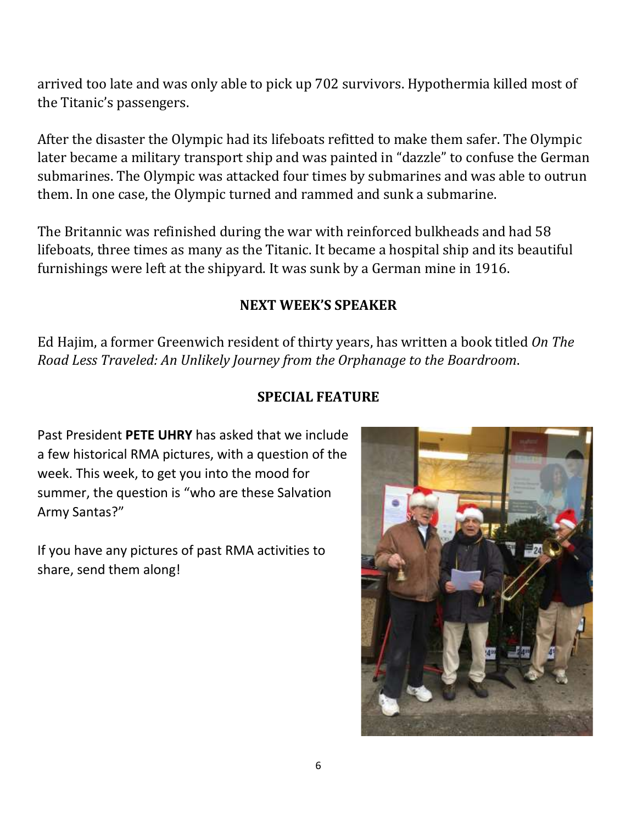arrived too late and was only able to pick up 702 survivors. Hypothermia killed most of the Titanic's passengers.

After the disaster the Olympic had its lifeboats refitted to make them safer. The Olympic later became a military transport ship and was painted in "dazzle" to confuse the German submarines. The Olympic was attacked four times by submarines and was able to outrun them. In one case, the Olympic turned and rammed and sunk a submarine.

The Britannic was refinished during the war with reinforced bulkheads and had 58 lifeboats, three times as many as the Titanic. It became a hospital ship and its beautiful furnishings were left at the shipyard. It was sunk by a German mine in 1916.

### **NEXT WEEK'S SPEAKER**

Ed Hajim, a former Greenwich resident of thirty years, has written a book titled *On The Road Less Traveled: An Unlikely Journey from the Orphanage to the Boardroom*.

### **SPECIAL FEATURE**

Past President **PETE UHRY** has asked that we include a few historical RMA pictures, with a question of the week. This week, to get you into the mood for summer, the question is "who are these Salvation Army Santas?"

If you have any pictures of past RMA activities to share, send them along!

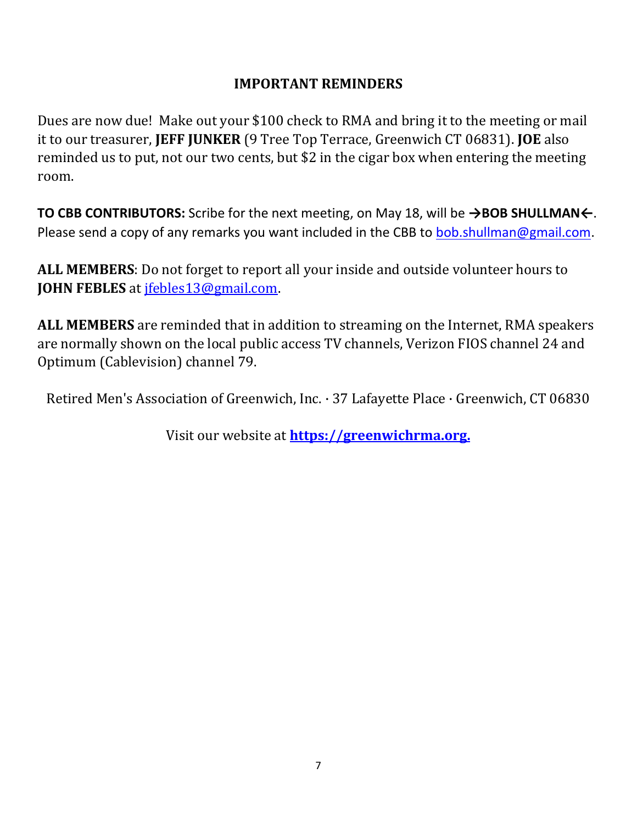#### **IMPORTANT REMINDERS**

Dues are now due! Make out your \$100 check to RMA and bring it to the meeting or mail it to our treasurer, **JEFF JUNKER** (9 Tree Top Terrace, Greenwich CT 06831). **JOE** also reminded us to put, not our two cents, but \$2 in the cigar box when entering the meeting room.

**TO CBB CONTRIBUTORS:** Scribe for the next meeting, on May 18, will be **→BOB SHULLMAN←**. Please send a copy of any remarks you want included in the CBB to [bob.shullman@gmail.com.](mailto:bob.shullman@gmail.com)

**ALL MEMBERS**: Do not forget to report all your inside and outside volunteer hours to **JOHN FEBLES** at [jfebles13@gmail.com.](mailto:jfebles13@gmail.com)

**ALL MEMBERS** are reminded that in addition to streaming on the Internet, RMA speakers are normally shown on the local public access TV channels, Verizon FIOS channel 24 and Optimum (Cablevision) channel 79.

Retired Men's Association of Greenwich, Inc. · 37 Lafayette Place · Greenwich, CT 06830

Visit our website at **[https://greenwichrma.org.](https://greenwichrma.org/)**